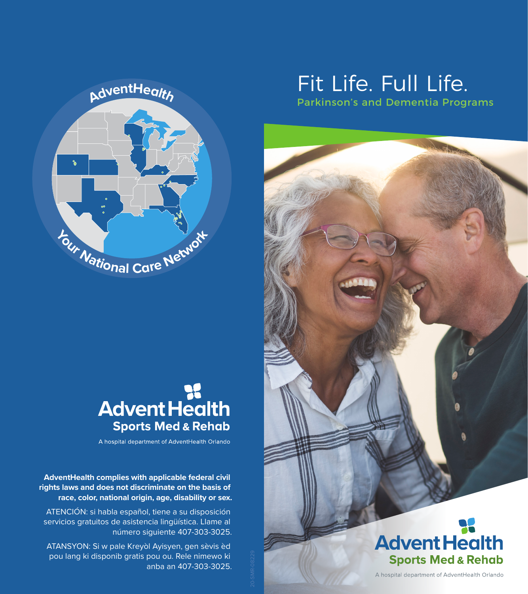



A hospital department of AdventHealth Orlando

**AdventHealth complies with applicable federal civil rights laws and does not discriminate on the basis of race, color, national origin, age, disability or sex.**

ATENCIÓN: si habla español, tiene a su disposición servicios gratuitos de asistencia lingüística. Llame al número siguiente 407-303-3025.

ATANSYON: Si w pale Kreyòl Ayisyen, gen sèvis èd pou lang ki disponib gratis pou ou. Rele nimewo ki anba an 407-303-3025.

# Fit Life. Full Life.

Parkinson's and Dementia Programs